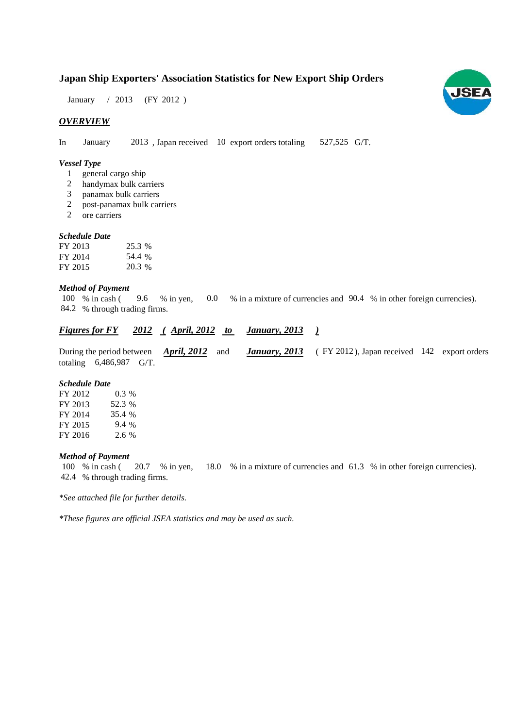### **Japan Ship Exporters' Association Statistics for New Export Ship Orders**

January / 2013 (FY 2012)

#### *OVERVIEW*

In January 2013, Japan received 10 export orders totaling 527,525 G/T. 527,525 G/T.

#### *Vessel Type*

- 1 general cargo ship
- handymax bulk carriers 2
- panamax bulk carriers 3
- post-panamax bulk carriers 2
- ore carriers 2

#### *Schedule Date*

| FY 2013 | 25.3 % |
|---------|--------|
| FY 2014 | 54.4 % |
| FY 2015 | 20.3 % |

#### *Method of Payment*

100 % in cash (9.6 % in yen, 0.0 % in a mixture of currencies and 90.4 % in other foreign currencies). % through trading firms. 84.2

#### *Figures for FY* 2012 (April, 2012 to January, 2013) *January, 2013*

During the period between *April, 2012* and *January, 2013* (FY 2012), Japan received 142 export orders totaling  $6,486,987$  G/T. *April, 2012 January, 2013*

#### *Schedule Date*

| FY 2012 | $0.3\%$ |
|---------|---------|
| FY 2013 | 52.3 %  |
| FY 2014 | 35.4 %  |
| FY 2015 | 9.4 %   |
| FY 2016 | 2.6%    |

#### *Method of Payment*

% in cash ( $\,20.7\quad$  % in yen,  $\,18.0\quad$  % in a mixture of currencies and  $\,61.3\quad$  % in other foreign currencies). % through trading firms. 42.4 100 % in cash (20.7 % in yen,

*\*See attached file for further details.*

*\*These figures are official JSEA statistics and may be used as such.*

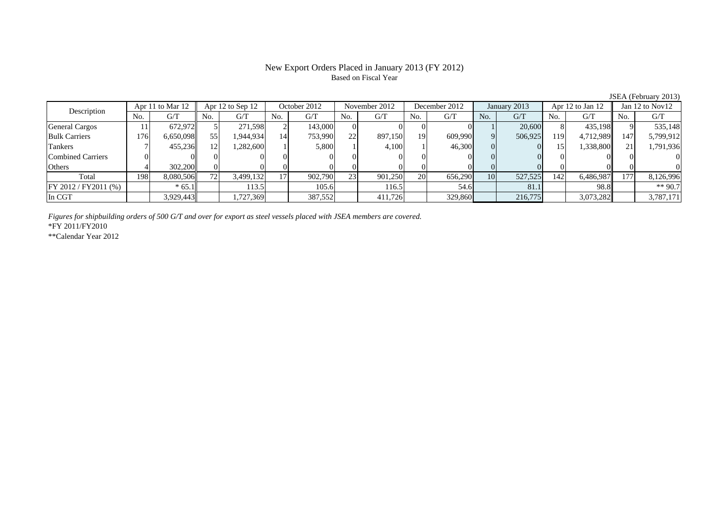#### New Export Orders Placed in January 2013 (FY 2012) Based on Fiscal Year

No. G/T No. G/T No. G/T No. G/T No. G/T No. G/T No. G/T No. G/T $\mathrm{G}/\mathrm{T}$ General Cargos ( | 11 | 672,972 | 5 271,598 2 143,000 0 0 0 0 0 1 20,600 8 435,198 9 535,148 Bulk Carriers 176 6,650,098 55 1,944,934 14 753,990 22 897,150 19 609,990 9 506,925 119 4,712,989 147 5,799,912 Tankers 7 455,236 12 1,282,600 1 5,800 1 4,100 1 46,300 0 0 15 1,338,800 21 1,791,936 Combined Carriers 0 0 0 0 0 0 0 0 0 0 0 0 0 0 0 0Others 4 302,200 0 0 0 0 0 0 0 0 0 0 0 0 0 0 Total 198 8,080,506 72 3,499,132 17 902,790 23 901,250 20 656,290 10 527,525 142 6,486,987 177 8,126,996 FY 2012 / FY2011 (%) \* 65.1 113.5 105.6 105.6 105.5 54.6 81.1 98.8 \*\* 90.7 In CGT | | 3,929,443|| | 1,727,369 | | 387,552| | 411,726| | 329,860| | 216,775| | 3,073,282|| | 3,787,171 Description Apr 11 to Mar 12 Apr 12 to Sep 12 October 2012 November 2012<br>No. 6/T No. 6/T No. 6/T No. 6/T Apr 12 to Sep 12 Cotober 2012 | November 2012 | December 2012 | January 2013 | Apr 12 to Jan 12 | Jan 12 to Nov12

*Figures for shipbuilding orders of 500 G/T and over for export as steel vessels placed with JSEA members are covered.*

\*FY 2011/FY2010

\*\*Calendar Year 2012

JSEA (February 2013)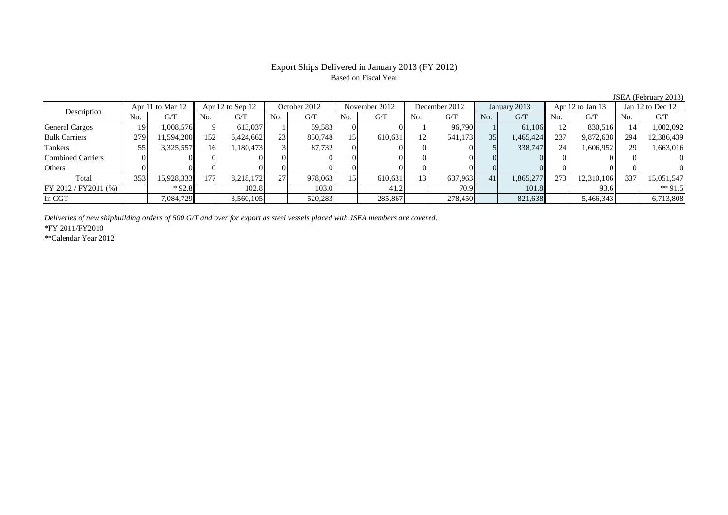# Based on Fiscal Year

No. G/T No. G/T No. G/T No. G/T No. G/T No. G/T No. G/T No. G/T $G/T$ General Cargos ( 19 1,008,576 9 613,037 1 59,583 0 0 1 96,790 1 61,106 12 830,516 14 1,002,092 Bulk Carriers 279 11,594,200 152 6,424,662 23 830,748 15 610,631 12 541,173 35 1,465,424 237 9,872,638 294 12,386,439 Tankers | 55| 3,325,557|| 16| 1,180,473| 3| 87,732| 0| 0| 0| 5| 338,747| 24| 1,606,952|| 29| 1,663,016 Combined Carriers 0 0 0 0 0 0 0 0 0 0 0 0 0 0 0 0Others 0 0 0 0 0 0 0 0 0 0 0 0 0 0 0 0Total 353 15,928,333 177 8,218,172 27 978,063 15 610,631 13 637,963 41 1,865,277 273 12,310,106 337 15,051,547 FY 2012 / FY2011 (%) \* 92.8 102.8 103.0 103.0 41.2 70.9 101.8 93.6 \*\* 91.5 In CGT | | 7,084,729|| | 3,560,105| | 520,283| | 285,867| | 278,450| | 821,638| | 5,466,343|| | 6,713,808 Description Apr 11 to Mar 12 Apr 12 to Sep 12 October 2012 November 2012<br>No. 6/T No. 6/T No. 6/T No. 6/T December 2012 January 2013 Apr 12 to Jan 13 Jan 12 to Dec 12

*Deliveries of new shipbuilding orders of 500 G/T and over for export as steel vessels placed with JSEA members are covered.*

\*FY 2011/FY2010

\*\*Calendar Year 2012

JSEA (February 2013)

# Export Ships Delivered in January 2013 (FY 2012)